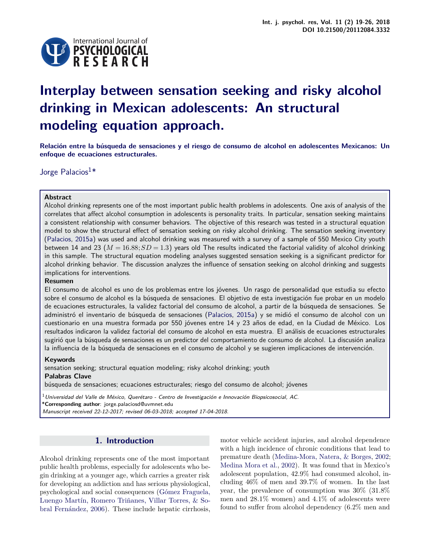

# **Interplay between sensation seeking and risky alcohol drinking in Mexican adolescents: An structural modeling equation approach.**

**Relación entre la búsqueda de sensaciones y el riesgo de consumo de alcohol en adolescentes Mexicanos: Un enfoque de ecuaciones estructurales.**

Jorge Palacios<sup>1\*</sup>

# **Abstract**

Alcohol drinking represents one of the most important public health problems in adolescents. One axis of analysis of the correlates that affect alcohol consumption in adolescents is personality traits. In particular, sensation seeking maintains a consistent relationship with consumer behaviors. The objective of this research was tested in a structural equation model to show the structural effect of sensation seeking on risky alcohol drinking. The sensation seeking inventory [\(Palacios,](#page-7-0) [2015a\)](#page-7-0) was used and alcohol drinking was measured with a survey of a sample of 550 Mexico City youth between 14 and 23 ( $M = 16.88; SD = 1.3$ ) years old The results indicated the factorial validity of alcohol drinking in this sample. The structural equation modeling analyses suggested sensation seeking is a significant predictor for alcohol drinking behavior. The discussion analyzes the influence of sensation seeking on alcohol drinking and suggests implications for interventions.

## **Resumen**

El consumo de alcohol es uno de los problemas entre los jóvenes. Un rasgo de personalidad que estudia su efecto sobre el consumo de alcohol es la búsqueda de sensaciones. El objetivo de esta investigación fue probar en un modelo de ecuaciones estructurales, la validez factorial del consumo de alcohol, a partir de la búsqueda de sensaciones. Se administró el inventario de búsqueda de sensaciones [\(Palacios,](#page-7-0) [2015a\)](#page-7-0) y se midió el consumo de alcohol con un cuestionario en una muestra formada por 550 jóvenes entre 14 y 23 años de edad, en la Ciudad de México. Los resultados indicaron la validez factorial del consumo de alcohol en esta muestra. El análisis de ecuaciones estructurales sugirió que la búsqueda de sensaciones es un predictor del comportamiento de consumo de alcohol. La discusión analiza la influencia de la búsqueda de sensaciones en el consumo de alcohol y se sugieren implicaciones de intervención.

## **Keywords**

sensation seeking; structural equation modeling; risky alcohol drinking; youth **Palabras Clave**

búsqueda de sensaciones; ecuaciones estructurales; riesgo del consumo de alcohol; jóvenes

 $^1$ Universidad del Valle de México, Querétaro - Centro de Investigación e Innovación Biopsicosocial, AC. \***Corresponding author**: jorge.palaciosd@uvmnet.edu

Manuscript received 22-12-2017; revised 06-03-2018; accepted 17-04-2018.

# **1. Introduction**

Alcohol drinking represents one of the most important public health problems, especially for adolescents who begin drinking at a younger age, which carries a greater risk for developing an addiction and has serious physiological, psychological and social consequences [\(Gómez Fraguela,](#page-6-0) [Luengo Martín, Romero Triñanes, Villar Torres, & So](#page-6-0)[bral Fernández,](#page-6-0) [2006\)](#page-6-0). These include hepatic cirrhosis,

motor vehicle accident injuries, and alcohol dependence with a high incidence of chronic conditions that lead to premature death [\(Medina-Mora, Natera, & Borges,](#page-6-1) [2002;](#page-6-1) [Medina Mora et al.,](#page-6-2) [2002\)](#page-6-2). It was found that in Mexico's adolescent population, 42.9% had consumed alcohol, including 46% of men and 39.7% of women. In the last year, the prevalence of consumption was 30% (31.8% men and 28.1% women) and 4.1% of adolescents were found to suffer from alcohol dependency (6.2% men and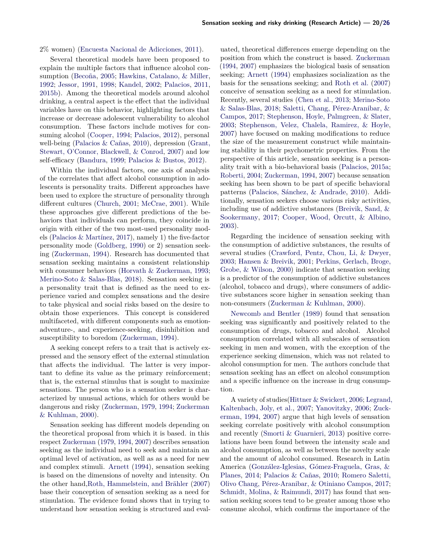2% women) [\(Encuesta Nacional de Adicciones,](#page-6-3) [2011\)](#page-6-3).

Several theoretical models have been proposed to explain the multiple factors that influence alcohol consumption [\(Becoña,](#page-5-0) [2005;](#page-5-0) [Hawkins, Catalano, & Miller,](#page-6-4) [1992;](#page-6-4) [Jessor,](#page-6-5) [1991,](#page-6-5) [1998;](#page-6-6) [Kandel,](#page-6-7) [2002;](#page-6-7) [Palacios,](#page-7-2) [2011,](#page-7-2) [2015b\)](#page-7-3). Among the theoretical models around alcohol drinking, a central aspect is the effect that the individual variables have on this behavior, highlighting factors that increase or decrease adolescent vulnerability to alcohol consumption. These factors include motives for consuming alcohol [\(Cooper,](#page-6-8) [1994;](#page-6-8) [Palacios,](#page-7-4) [2012\)](#page-7-4), personal well-being [\(Palacios & Cañas,](#page-7-5) [2010\)](#page-7-5), depression [\(Grant,](#page-6-9) [Stewart, O'Connor, Blackwell, & Conrod,](#page-6-9) [2007\)](#page-6-9) and low self-efficacy [\(Bandura,](#page-5-1) [1999;](#page-5-1) [Palacios & Bustos,](#page-7-6) [2012\)](#page-7-6).

Within the individual factors, one axis of analysis of the correlates that affect alcohol consumption in adolescents is personality traits. Different approaches have been used to explore the structure of personality through different cultures [\(Church,](#page-6-10) [2001;](#page-6-10) [McCrae,](#page-6-11) [2001\)](#page-6-11). While these approaches give different predictions of the behaviors that individuals can perform, they coincide in origin with either of the two most-used personality models [\(Palacios & Martínez,](#page-7-7) [2017\)](#page-7-7), namely 1) the five-factor personality mode [\(Goldberg,](#page-6-12) [1990\)](#page-6-12) or 2) sensation seeking [\(Zuckerman,](#page-7-8) [1994\)](#page-7-8). Research has documented that sensation seeking maintains a consistent relationship with consumer behaviors [\(Horvath & Zuckerman,](#page-6-13) [1993;](#page-6-13) [Merino-Soto & Salas-Blas,](#page-6-14) [2018\)](#page-6-14). Sensation seeking is a personality trait that is defined as the need to experience varied and complex sensations and the desire to take physical and social risks based on the desire to obtain those experiences. This concept is considered multifaceted, with different components such as emotionadventure-, and experience-seeking, disinhibition and susceptibility to boredom [\(Zuckerman,](#page-7-8) [1994\)](#page-7-8).

A seeking concept refers to a trait that is actively expressed and the sensory effect of the external stimulation that affects the individual. The latter is very important to define its value as the primary reinforcement; that is, the external stimulus that is sought to maximize sensations. The person who is a sensation seeker is characterized by unusual actions, which for others would be dangerous and risky [\(Zuckerman,](#page-7-9) [1979,](#page-7-9) [1994;](#page-7-8) [Zuckerman](#page-7-10) [& Kuhlman,](#page-7-10) [2000\)](#page-7-10).

Sensation seeking has different models depending on the theoretical proposal from which it is based. in this respect [Zuckerman](#page-7-9) [\(1979,](#page-7-9) [1994,](#page-7-8) [2007\)](#page-7-11) describes sensation seeking as the individual need to seek and maintain an optimal level of activation, as well as as a need for new and complex stimuli. [Arnett](#page-5-2) [\(1994\)](#page-5-2), sensation seeking is based on the dimensions of novelty and intensity. On the other hand[,Roth, Hammelstein, and Brähler](#page-7-12) [\(2007\)](#page-7-12) base their conception of sensation seeking as a need for stimulation. The evidence found shows that in trying to understand how sensation seeking is structured and eval-

uated, theoretical differences emerge depending on the position from which the construct is based. [Zuckerman](#page-7-8) [\(1994,](#page-7-8) [2007\)](#page-7-11) emphasizes the biological basis of sensation seeking; [Arnett](#page-5-2) [\(1994\)](#page-5-2) emphasizes socialization as the basis for the sensations seeking; and [Roth et al.](#page-7-12) [\(2007\)](#page-7-12) conceive of sensation seeking as a need for stimulation. Recently, several studies [\(Chen et al.,](#page-6-15) [2013;](#page-6-15) [Merino-Soto](#page-6-14) [& Salas-Blas,](#page-6-14) [2018;](#page-6-14) [Saletti, Chang, Pérez-Aranibar, &](#page-7-13) [Campos,](#page-7-13) [2017;](#page-7-13) [Stephenson, Hoyle, Palmgreen, & Slater,](#page-7-14) [2003;](#page-7-14) [Stephenson, Velez, Chalela, Ramirez, & Hoyle,](#page-7-15) [2007\)](#page-7-15) have focused on making modifications to reduce the size of the measurement construct while maintaining stability in their psychometric properties. From the perspective of this article, sensation seeking is a personality trait with a bio-behavioral basis [\(Palacios,](#page-7-0) [2015a;](#page-7-0) [Roberti,](#page-7-16) [2004;](#page-7-16) [Zuckerman,](#page-7-8) [1994,](#page-7-8) [2007\)](#page-7-11) because sensation seeking has been shown to be part of specific behavioral patterns [\(Palacios, Sánchez, & Andrade,](#page-7-17) [2010\)](#page-7-17). Additionally, sensation seekers choose various risky activities, including use of addictive substances [\(Breivik, Sand, &](#page-5-3) [Sookermany,](#page-5-3) [2017;](#page-5-3) [Cooper, Wood, Orcutt, & Albino,](#page-6-16) [2003\)](#page-6-16).

Regarding the incidence of sensation seeking with the consumption of addictive substances, the results of several studies [\(Crawford, Pentz, Chou, Li, & Dwyer,](#page-6-17) [2003;](#page-6-17) [Hansen & Breivik,](#page-6-18) [2001;](#page-6-18) [Perkins, Gerlach, Broge,](#page-7-18) [Grobe, & Wilson,](#page-7-18) [2000\)](#page-7-18) indicate that sensation seeking is a predictor of the consumption of addictive substances (alcohol, tobacco and drugs), where consumers of addictive substances score higher in sensation seeking than non-consumers [\(Zuckerman & Kuhlman,](#page-7-10) [2000\)](#page-7-10).

[Newcomb and Bentler](#page-6-19) [\(1989\)](#page-6-19) found that sensation seeking was significantly and positively related to the consumption of drugs, tobacco and alcohol. Alcohol consumption correlated with all subscales of sensation seeking in men and women, with the exception of the experience seeking dimension, which was not related to alcohol consumption for men. The authors conclude that sensation seeking has an effect on alcohol consumption and a specific influence on the increase in drug consumption.

A variety of studies[\(Hittner & Swickert,](#page-6-20) [2006;](#page-6-20) [Legrand](#page-6-21), [Kaltenbach, Joly, et al.,](#page-6-21) [2007;](#page-6-21) [Yanovitzky,](#page-7-19) [2006;](#page-7-19) [Zuck](#page-7-8)[erman,](#page-7-8) [1994,](#page-7-8) [2007\)](#page-7-11) argue that high levels of sensation seeking correlate positively with alcohol consumption and recently [\(Smorti & Guarnieri,](#page-7-20) [2013\)](#page-7-20) positive correlations have been found between the intensity scale and alcohol consumption, as well as between the novelty scale and the amount of alcohol consumed. Research in Latin America [\(González-Iglesias, Gómez-Fraguela, Gras, &](#page-6-22) [Planes,](#page-6-22) [2014;](#page-6-22) [Palacios & Cañas,](#page-7-5) [2010;](#page-7-5) [Romero Saletti,](#page-7-21) [Olivo Chang, Pérez-Aranibar, & Otiniano Campos,](#page-7-21) [2017;](#page-7-21) [Schmidt, Molina, & Raimundi,](#page-7-22) [2017\)](#page-7-22) has found that sensation seeking scores tend to be greater among those who consume alcohol, which confirms the importance of the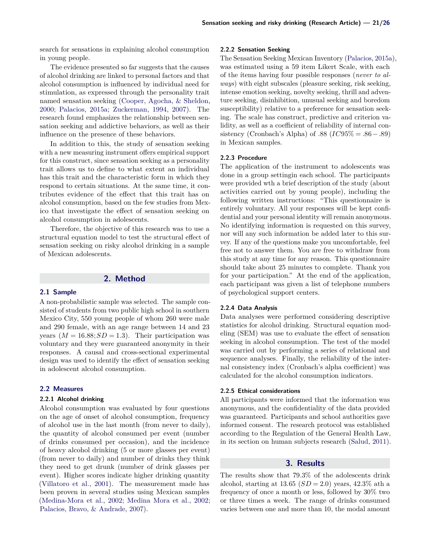search for sensations in explaining alcohol consumption in young people.

The evidence presented so far suggests that the causes of alcohol drinking are linked to personal factors and that alcohol consumption is influenced by individual need for stimulation, as expressed through the personality trait named sensation seeking [\(Cooper, Agocha, & Sheldon,](#page-6-23) [2000;](#page-6-23) [Palacios,](#page-7-0) [2015a;](#page-7-0) [Zuckerman,](#page-7-8) [1994,](#page-7-8) [2007\)](#page-7-11). The research found emphasizes the relationship between sensation seeking and addictive behaviors, as well as their influence on the presence of these behaviors.

In addition to this, the study of sensation seeking with a new measuring instrument offers empirical support for this construct, since sensation seeking as a personality trait allows us to define to what extent an individual has this trait and the characteristic form in which they respond to certain situations. At the same time, it contributes evidence of the effect that this trait has on alcohol consumption, based on the few studies from Mexico that investigate the effect of sensation seeking on alcohol consumption in adolescents.

Therefore, the objective of this research was to use a structural equation model to test the structural effect of sensation seeking on risky alcohol drinking in a sample of Mexican adolescents.

# **2. Method**

## **2.1 Sample**

A non-probabilistic sample was selected. The sample consisted of students from two public high school in southern Mexico City, 550 young people of whom 260 were male and 290 female, with an age range between 14 and 23 years  $(M = 16.88; SD = 1.3)$ . Their participation was voluntary and they were guaranteed anonymity in their responses. A causal and cross-sectional experimental design was used to identify the effect of sensation seeking in adolescent alcohol consumption.

## **2.2 Measures**

#### **2.2.1 Alcohol drinking**

Alcohol consumption was evaluated by four questions on the age of onset of alcohol consumption, frequency of alcohol use in the last month (from never to daily), the quantity of alcohol consumed per event (number of drinks consumed per occasion), and the incidence of heavy alcohol drinking (5 or more glasses per event) (from never to daily) and number of drinks they think they need to get drunk (number of drink glasses per event). Higher scores indicate higher drinking quantity [\(Villatoro et al.,](#page-7-23) [2001\)](#page-7-23). The measurement made has been proven in several studies using Mexican samples [\(Medina-Mora et al.,](#page-6-1) [2002;](#page-6-1) [Medina Mora et al.,](#page-6-2) [2002;](#page-6-2) [Palacios, Bravo, & Andrade,](#page-7-24) [2007\)](#page-7-24).

#### **2.2.2 Sensation Seeking**

The Sensation Seeking Mexican Inventory [\(Palacios,](#page-7-0) [2015a\)](#page-7-0), was estimated using a 59 item Likert Scale, with each of the ítems having four possible responses (*never to always*) with eight subscales (pleasure seeking, risk seeking, intense emotion seeking, novelty seeking, thrill and adventure seeking, disinhibition, unusual seeking and boredom susceptibility) relative to a preference for sensation seeking. The scale has construct, predictive and criterion validity, as well as a coefficient of reliability of internal consistency (Cronbach's Alpha) of .88 ( $IC95\% = .86 - .89$ ) in Mexican samples.

#### **2.2.3 Procedure**

The application of the instrument to adolescents was done in a group settingin each school. The participants were provided wth a brief description of the study (about activities carried out by young people), including the following written instructions: "This questionnaire is entirely voluntary. All your responses will be kept confidential and your personal identity will remain anonymous. No identifying information is requested on this survey, nor will any such information be added later to this survey. If any of the questions make you uncomfortable, feel free not to answer them. You are free to withdraw from this study at any time for any reason. This questionnaire should take about 25 minutes to complete. Thank you for your participation." At the end of the application, each participant was given a list of telephone numbers of psychological support centers.

## **2.2.4 Data Analysis**

Data analyses were performed considering descriptive statistics for alcohol drinking. Structural equation modeling (SEM) was use to evaluate the effect of sensation seeking in alcohol consumption. The test of the model was carried out by performing a series of relational and sequence analyses. Finally, the reliability of the internal consistency index (Cronbach's alpha coefficient) was calculated for the alcohol consumption indicators.

## **2.2.5 Ethical considerations**

All participants were informed that the information was anonymous, and the confidentiality of the data provided was guaranteed. Participants and school authorities gave informed consent. The research protocol was established according to the Regulation of the General Health Law, in its section on human subjects research [\(Salud,](#page-7-25) [2011\)](#page-7-25).

# **3. Results**

The results show that 79.3% of the adolescents drink alcohol, starting at  $13.65$   $(SD = 2.0)$  years,  $42.3\%$  ath a frequency of once a month or less, followed by 30% two or three times a week. The range of drinks consumed varies between one and more than 10, the modal amount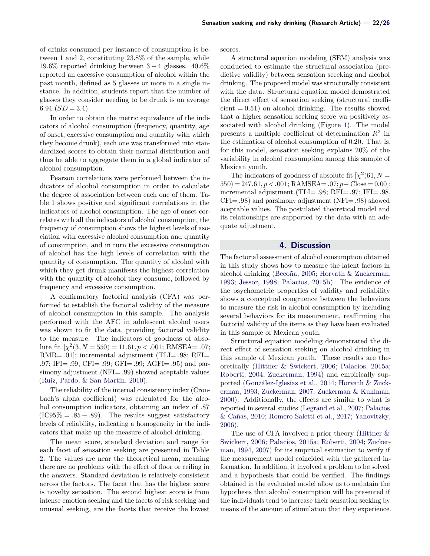of drinks consumed per instance of consumption is between 1 and 2, constituting 23.8% of the sample, while 19.6% reported drinking between  $3-4$  glasses. 40.6% reported an excessive consumption of alcohol within the past month, defined as 5 glasses or more in a single instance. In addition, students report that the number of glasses they consider needing to be drunk is on average 6.94  $(SD = 3.4)$ .

In order to obtain the metric equivalence of the indicators of alcohol consumption (frequency, quantity, age of onset, excessive consumption and quantity with which they become drunk), each one was transformed into standardized scores to obtain their normal distribution and thus be able to aggregate them in a global indicator of alcohol consumption.

Pearson correlations were performed between the indicators of alcohol consumption in order to calculate the degree of association between each one of them. Table [1](#page-4-0) shows positive and significant correlations in the indicators of alcohol consumption. The age of onset correlates with all the indicators of alcohol consumption, the frequency of consumption shows the highest levels of asociation with excessive alcohol consumption and quantity of consumption, and in turn the excessive consumption of alcohol has the high levels of correlation with the quantity of consumption. The quantity of alcohol with which they get drunk manifests the highest correlation with the quantity of alcohol they consume, followed by frequency and excessive consumption.

A confirmatory factorial analysis (CFA) was performed to establish the factorial validity of the measure of alcohol consumption in this sample. The analysis performed with the AFC in adolescent alcohol users was shown to fit the data, providing factorial validity to the measure. The indicators of goodness of absolute fit  $[\chi^2(3, N = 550) = 11.61, p < .001;$  RMSEA= .07; RMR= .01; incremental adjustment (TLI= .98; RFI= .97; IFI= .99, CFI= .99; GFI= .99; AGFI= .95) and parsimony adjustment (NFI= .99) showed aceptable values [\(Ruiz, Pardo, & San Martín,](#page-7-26) [2010\)](#page-7-26).

The reliability of the internal consistency index (Cronbach's alpha coefficient) was calculated for the alcohol consumption indicators, obtaining an index of .87  $(IC95\% = .85 - .89)$ . The results suggest satisfactory levels of reliability, indicating a homogeneity in the indicators that make up the measure of alcohol drinking.

The mean score, standard deviation and range for each facet of sensation seeking are presented in Table [2.](#page-4-1) The values are near the theoretical mean, meaning there are no problems with the effect of floor or ceiling in the answers. Standard deviation is relatively consistent across the factors. The facet that has the highest score is novelty sensation. The second highest score is from intense emotion seeking and the facets of risk seeking and unusual seeking, are the facets that receive the lowest

scores.

A structural equation modeling (SEM) analysis was conducted to estimate the structural association (predictive validity) between sensation seeeking and alcohol drinking. The proposed model was structurally consistent with the data. Structural equation model demostrated the direct effect of sensation seeking (structural coeffi $cient = 0.51$  on alcohol drinking. The results showed that a higher sensation seeking score wa positively associated with alcohol drinking (Figure [1\)](#page-4-2). The model presents a multiple coefficient of determination  $R^2$  in the estimation of alcohol consumption of 0.20. That is, for this model, sensation seeking explains 20% of the variability in alcohol consumption among this sample of Mexican youth.

The indicators of goodness of absolute fit  $\chi^2(61, N =$  $550) = 247.61, p < .001;$  RAMSEA=  $.07; p -$ Close = 0.00]; incremental adjustment (TLI= .98; RFI= .97; IFI= .98, CFI= .98) and parsimony adjustment (NFI= .98) showed aceptable values. The postulated theoretical model and its relationships are supported by the data with an adequate adjustment.

#### **4. Discussion**

The factorial assessment of alcohol consumption obtained in this study shows how to measure the latent factors in alcohol drinking [\(Becoña,](#page-5-0) [2005;](#page-5-0) [Horvath & Zuckerman,](#page-6-13) [1993;](#page-6-13) [Jessor,](#page-6-6) [1998;](#page-6-6) [Palacios,](#page-7-3) [2015b\)](#page-7-3). The evidence of the psychometric properties of validity and reliability shows a conceptual congruence between the behaviors to measure the risk in alcohol consumption by including several behaviors for its measurement, reaffirming the factorial validity of the items as they have been evaluated in this sample of Mexican youth.

Structural equation modeling demonstrated the direct effect of sensation seeking on alcohol drinking in this sample of Mexican youth. These results are theoretically [\(Hittner & Swickert,](#page-6-20) [2006;](#page-6-20) [Palacios,](#page-7-0) [2015a;](#page-7-0) [Roberti,](#page-7-16) [2004;](#page-7-16) [Zuckerman,](#page-7-8) [1994\)](#page-7-8) and empirically supported [\(González-Iglesias et al.,](#page-6-22) [2014;](#page-6-22) [Horvath & Zuck](#page-6-13)[erman,](#page-6-13) [1993;](#page-6-13) [Zuckerman,](#page-7-11) [2007;](#page-7-11) [Zuckerman & Kuhlman,](#page-7-10) [2000\)](#page-7-10). Additionally, the effects are similar to what is reported in several studies [\(Legrand et al.,](#page-6-21) [2007;](#page-6-21) [Palacios](#page-7-5) [& Cañas,](#page-7-5) [2010;](#page-7-5) [Romero Saletti et al.,](#page-7-21) [2017;](#page-7-21) [Yanovitzky,](#page-7-19) [2006\)](#page-7-19).

The use of CFA involved a prior theory (Hittner  $\&$ [Swickert,](#page-6-20) [2006;](#page-6-20) [Palacios,](#page-7-0) [2015a;](#page-7-0) [Roberti,](#page-7-16) [2004;](#page-7-16) [Zucker](#page-7-8)[man,](#page-7-8) [1994,](#page-7-8) [2007\)](#page-7-11) for its empirical estimation to verify if the measurement model coincided with the gathered information. In addition, it involved a problem to be solved and a hypothesis that could be verified. The findings obtained in the evaluated model allow us to maintain the hypothesis that alcohol consumption will be presented if the individuals tend to increase their sensation seeking by means of the amount of stimulation that they experience.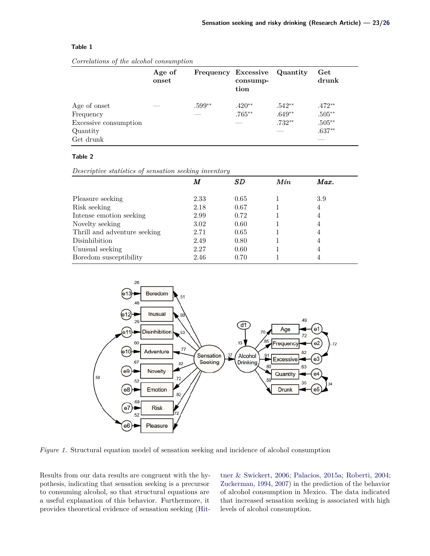# <span id="page-4-0"></span>**Table 1**

*Correlations of the alcohol consumption*

|                       | Age of<br>onset |          | Frequency Excessive Quantity<br>consump-<br>tion |          | Get<br>drunk |
|-----------------------|-----------------|----------|--------------------------------------------------|----------|--------------|
| Age of onset          | ____            | $.599**$ | $.420**$                                         | $.542**$ | $.472**$     |
| Frequency             |                 |          | $.765***$                                        | $.649**$ | $.505**$     |
| Excessive consumption |                 |          | ___                                              | $.732**$ | $.505**$     |
| Quantity              |                 |          |                                                  |          | $.637**$     |
| Get drunk             |                 |          |                                                  |          |              |

## <span id="page-4-1"></span>**Table 2**

*Descriptive statístics of sensation seeking inventory*

|                              | M    | SD   | $M$ ín | Max. |  |
|------------------------------|------|------|--------|------|--|
|                              |      |      |        |      |  |
| Pleasure seeking             | 2.33 | 0.65 |        | 3.9  |  |
| Risk seeking                 | 2.18 | 0.67 |        | 4    |  |
| Intense emotion seeking      | 2.99 | 0.72 |        |      |  |
| Novelty seeking              | 3.02 | 0.60 |        | 4    |  |
| Thrill and adventure seeking | 2.71 | 0.65 |        | 4    |  |
| Disinhibition                | 2.49 | 0.80 |        | 4    |  |
| Unusual seeking              | 2.27 | 0.60 |        | 4    |  |
| Boredom susceptibility       | 2.46 | 0.70 |        |      |  |

<span id="page-4-2"></span>

*Figure 1.* Structural equation model of sensation seeking and incidence of alcohol consumption

Results from our data results are congruent with the hypothesis, indicating that sensation seeking is a precursor to consuming alcohol, so that structural equations are a useful explanation of this behavior. Furthermore, it provides theoretical evidence of sensation seeking [\(Hit-](#page-6-20) [tner & Swickert,](#page-6-20) [2006;](#page-6-20) [Palacios,](#page-7-0) [2015a;](#page-7-0) [Roberti,](#page-7-16) [2004;](#page-7-16) [Zuckerman,](#page-7-8) [1994,](#page-7-8) [2007\)](#page-7-11) in the prediction of the behavior of alcohol consumption in Mexico. The data indicated that increased sensation seeking is associated with high levels of alcohol consumption.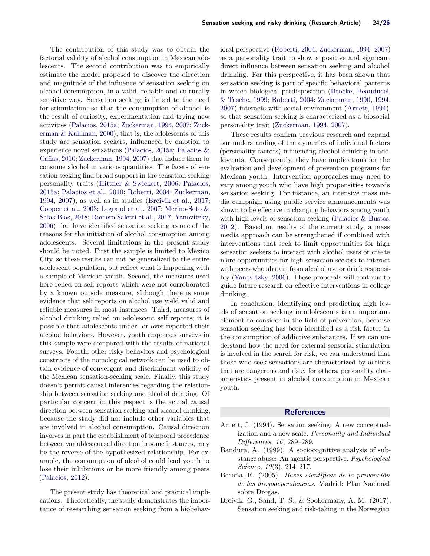The contribution of this study was to obtain the factorial validity of alcohol consumption in Mexican adolescents. The second contribution was to empirically estimate the model proposed to discover the direction and magnitude of the influence of sensation seeking on alcohol consumption, in a valid, reliable and culturally sensitive way. Sensation seeking is linked to the need for stimulation; so that the consumption of alcohol is the result of curiosity, experimentation and trying new activities [\(Palacios,](#page-7-0) [2015a;](#page-7-0) [Zuckerman,](#page-7-8) [1994,](#page-7-8) [2007;](#page-7-11) [Zuck](#page-7-10)[erman & Kuhlman,](#page-7-10) [2000\)](#page-7-10); that is, the adolescents of this study are sensation seekers, influenced by emotion to experience novel sensations [\(Palacios,](#page-7-0) [2015a;](#page-7-0) [Palacios &](#page-7-5) [Cañas,](#page-7-5) [2010;](#page-7-5) [Zuckerman,](#page-7-8) [1994,](#page-7-8) [2007\)](#page-7-11) that induce them to consume alcohol in various quantities. The facets of sensation seeking find broad support in the sensation seeking personality traits [\(Hittner & Swickert,](#page-6-20) [2006;](#page-6-20) [Palacios,](#page-7-0) [2015a;](#page-7-0) [Palacios et al.,](#page-7-17) [2010;](#page-7-17) [Roberti,](#page-7-16) [2004;](#page-7-16) [Zuckerman,](#page-7-8) [1994,](#page-7-8) [2007\)](#page-7-11), as well as in studies [\(Breivik et al.,](#page-5-3) [2017;](#page-5-3) [Cooper et al.,](#page-6-16) [2003;](#page-6-16) [Legrand et al.,](#page-6-21) [2007;](#page-6-21) [Merino-Soto &](#page-6-14) [Salas-Blas,](#page-6-14) [2018;](#page-6-14) [Romero Saletti et al.,](#page-7-21) [2017;](#page-7-21) [Yanovitzky,](#page-7-19) [2006\)](#page-7-19) that have identified sensation seeking as one of the reasons for the initiation of alcohol consumption among adolescents. Several limitations in the present study should be noted. First the sample is limited to Mexico City, so these results can not be generalized to the entire adolescent population, but reflect what is happening with a sample of Mexican youth. Second, the measures used here relied on self reports which were not corroborated by a known outside measure, although there is some evidence that self reports on alcohol use yield valid and reliable measures in most instances. Third, measures of alcohol drinking relied on adolescent self reports; it is possible that adolescents under- or over-reported their alcohol behaviors. However, youth responses surveys in this sample were compared with the results of national surveys. Fourth, other risky behaviors and psychological constructs of the nomological network can be used to obtain evidence of convergent and discriminant validity of the Mexican sensation-seeking scale. Finally, this study doesn't permit causal inferences regarding the relationship between sensation seeking and alcohol drinking. Of particular concern in this respect is the actual causal direction between sensation seeking and alcohol drinking, because the study did not include other variables that are involved in alcohol consumption. Causal direction involves in part the establishment of temporal precedence between variables;causal direction in some instances, may be the reverse of the hypothesized relationship. For example, the consumption of alcohol could lead youth to lose their inhibitions or be more friendly among peers [\(Palacios,](#page-7-4) [2012\)](#page-7-4).

The present study has theoretical and practical implications. Theoretically, the study demonstrates the importance of researching sensation seeking from a biobehav-

ioral perspective [\(Roberti,](#page-7-16) [2004;](#page-7-16) [Zuckerman,](#page-7-8) [1994,](#page-7-8) [2007\)](#page-7-11) as a personality trait to show a positive and signicant direct influence between sensation seeking and alcohol drinking. For this perspective, it has been shown that sensation seeking is part of specific behavioral patterns in which biological predisposition [\(Brocke, Beauducel,](#page-6-24) [& Tasche,](#page-6-24) [1999;](#page-6-24) [Roberti,](#page-7-16) [2004;](#page-7-16) [Zuckerman,](#page-7-27) [1990,](#page-7-27) [1994,](#page-7-8) [2007\)](#page-7-11) interacts with social environment [\(Arnett,](#page-5-2) [1994\)](#page-5-2), so that sensation seeking is characterized as a biosocial personality trait [\(Zuckerman,](#page-7-8) [1994,](#page-7-8) [2007\)](#page-7-11).

These results confirm previous research and expand our understanding of the dynamics of individual factors (personality factors) influencing alcohol drinking in adolescents. Consequently, they have implications for the evaluation and development of prevention programs for Mexican youth. Intervention approaches may need to vary among youth who have high propensities towards sensation seeking. For instance, an intensive mass media campaign using public service announcements was shown to be effective in changing behaviors among youth with high levels of sensation seeking [\(Palacios & Bustos,](#page-7-6) [2012\)](#page-7-6). Based on results of the current study, a mass media approach can be strengthened if combined with interventions that seek to limit opportunities for high sensation seekers to interact with alcohol users or create more opportunities for high sensation seekers to interact with peers who abstain from alcohol use or drink responsibly [\(Yanovitzky,](#page-7-19) [2006\)](#page-7-19). These proposals will continue to guide future research on effective interventions in college drinking.

In conclusion, identifying and predicting high levels of sensation seeking in adolescents is an important element to consider in the field of prevention, because sensation seeking has been identified as a risk factor in the consumption of addictive substances. If we can understand how the need for external sensorial stimulation is involved in the search for risk, we can understand that those who seek sensations are characterized by actions that are dangerous and risky for others, personality characteristics present in alcohol consumption in Mexican youth.

## **References**

- <span id="page-5-2"></span>Arnett, J. (1994). Sensation seeking: A new conceptualization and a new scale. *Personality and Individual Differences*, *16*, 289–289.
- <span id="page-5-1"></span>Bandura, A. (1999). A sociocognitive analysis of substance abuse: An agentic perspective. *Psychological Science*, *10*(3), 214–217.
- <span id="page-5-0"></span>Becoña, E. (2005). *Bases científicas de la prevención de las drogodependencias.* Madrid: Plan Nacional sobre Drogas.
- <span id="page-5-3"></span>Breivik, G., Sand, T. S., & Sookermany, A. M. (2017). Sensation seeking and risk-taking in the Norwegian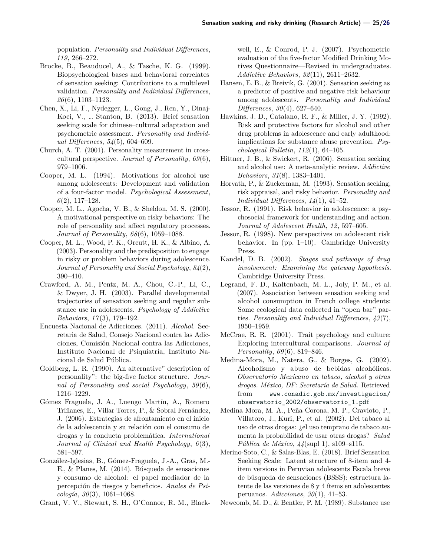population. *Personality and Individual Differences*, *119*, 266–272.

- <span id="page-6-24"></span>Brocke, B., Beauducel, A., & Tasche, K. G. (1999). Biopsychological bases and behavioral correlates of sensation seeking: Contributions to a multilevel validation. *Personality and Individual Differences*, *26*(6), 1103–1123.
- <span id="page-6-15"></span>Chen, X., Li, F., Nydegger, L., Gong, J., Ren, Y., Dinaj-Koci, V., … Stanton, B. (2013). Brief sensation seeking scale for chinese–cultural adaptation and psychometric assessment. *Personality and Individual Differences*, *54*(5), 604–609.
- <span id="page-6-10"></span>Church, A. T. (2001). Personality measurement in crosscultural perspective. *Journal of Personality*, *69*(6), 979–1006.
- <span id="page-6-8"></span>Cooper, M. L. (1994). Motivations for alcohol use among adolescents: Development and validation of a four-factor model. *Psychological Assessment*, *6*(2), 117–128.
- <span id="page-6-23"></span>Cooper, M. L., Agocha, V. B., & Sheldon, M. S. (2000). A motivational perspective on risky behaviors: The role of personality and affect regulatory processes. *Journal of Personality*, *68*(6), 1059–1088.
- <span id="page-6-16"></span>Cooper, M. L., Wood, P. K., Orcutt, H. K., & Albino, A. (2003). Personality and the predisposition to engage in risky or problem behaviors during adolescence. *Journal of Personality and Social Psychology*, *84*(2), 390–410.
- <span id="page-6-17"></span>Crawford, A. M., Pentz, M. A., Chou, C.-P., Li, C., & Dwyer, J. H. (2003). Parallel developmental trajectories of sensation seeking and regular substance use in adolescents. *Psychology of Addictive Behaviors*, *17* (3), 179–192.
- <span id="page-6-3"></span>Encuesta Nacional de Adicciones. (2011). *Alcohol.* Secretaria de Salud, Consejo Nacional contra las Adicciones, Comisión Nacional contra las Adicciones, Instituto Nacional de Psiquiatría, Instituto Nacional de Salud Pública.
- <span id="page-6-12"></span>Goldberg, L. R. (1990). An alternative" description of personality": the big-five factor structure. *Journal of Personality and social Psychology*, *59*(6), 1216–1229.
- <span id="page-6-0"></span>Gómez Fraguela, J. A., Luengo Martín, A., Romero Triñanes, E., Villar Torres, P., & Sobral Fernández, J. (2006). Estrategias de afrontamiento en el inicio de la adolescencia y su relación con el consumo de drogas y la conducta problemática. *International Journal of Clinical and Health Psychology*, *6*(3), 581–597.
- <span id="page-6-22"></span>González-Iglesias, B., Gómez-Fraguela, J.-A., Gras, M.- E., & Planes, M. (2014). Búsqueda de sensaciones y consumo de alcohol: el papel mediador de la percepción de riesgos y beneficios. *Anales de Psicología*, *30*(3), 1061–1068.
- <span id="page-6-9"></span>Grant, V. V., Stewart, S. H., O'Connor, R. M., Black-

well, E., & Conrod, P. J. (2007). Psychometric evaluation of the five-factor Modified Drinking Motives Questionnaire—Revised in undergraduates. *Addictive Behaviors*, *32*(11), 2611–2632.

- <span id="page-6-18"></span>Hansen, E. B., & Breivik, G. (2001). Sensation seeking as a predictor of positive and negative risk behaviour among adolescents. *Personality and Individual Differences*, *30*(4), 627–640.
- <span id="page-6-4"></span>Hawkins, J. D., Catalano, R. F., & Miller, J. Y. (1992). Risk and protective factors for alcohol and other drug problems in adolescence and early adulthood: implications for substance abuse prevention. *Psychological Bulletin*, *112*(1), 64–105.
- <span id="page-6-20"></span>Hittner, J. B., & Swickert, R. (2006). Sensation seeking and alcohol use: A meta-analytic review. *Addictive Behaviors*, *31*(8), 1383–1401.
- <span id="page-6-13"></span>Horvath, P., & Zuckerman, M. (1993). Sensation seeking, risk appraisal, and risky behavior. *Personality and Individual Differences*, *14*(1), 41–52.
- <span id="page-6-5"></span>Jessor, R. (1991). Risk behavior in adolescence: a psychosocial framework for understanding and action. *Journal of Adolescent Health*, *12*, 597–605.
- <span id="page-6-6"></span>Jessor, R. (1998). New perspectives on adolescent risk behavior. In  $(pp. 1-10)$ . Cambridge University Press.
- <span id="page-6-7"></span>Kandel, D. B. (2002). *Stages and pathways of drug involvement: Examining the gateway hypothesis*. Cambridge University Press.
- <span id="page-6-21"></span>Legrand, F. D., Kaltenbach, M. L., Joly, P. M., et al. (2007). Association between sensation seeking and alcohol consumption in French college students: Some ecological data collected in "open bar" parties. *Personality and Individual Differences*, *43*(7), 1950–1959.
- <span id="page-6-11"></span>McCrae, R. R. (2001). Trait psychology and culture: Exploring intercultural comparisons. *Journal of Personality*, *69*(6), 819–846.
- <span id="page-6-1"></span>Medina-Mora, M., Natera, G., & Borges, G. (2002). Alcoholismo y abuso de bebidas alcohólicas. *Observatorio Mexicano en tabaco, alcohol y otras drogas. México, DF: Secretaría de Salud*. Retrieved from [www.conadic.gob.mx/investigacion/](www.conadic.gob.mx/investigacion/observatorio_2002/observatorio_1.pdf) [observatorio\\_2002/observatorio\\_1.pdf](www.conadic.gob.mx/investigacion/observatorio_2002/observatorio_1.pdf)
- <span id="page-6-2"></span>Medina Mora, M. A., Peña Corona, M. P., Cravioto, P., Villatoro, J., Kuri, P., et al. (2002). Del tabaco al uso de otras drogas: ¿el uso temprano de tabaco aumenta la probabilidad de usar otras drogas? *Salud Pública de México*, *44*(supl 1), s109–s115.
- <span id="page-6-14"></span>Merino-Soto, C., & Salas-Blas, E. (2018). Brief Sensation Seeking Scale: Latent structure of 8-item and 4 item versions in Peruvian adolescents Escala breve de búsqueda de sensaciones (BSSS): estructura latente de las versiones de 8 y 4 ítems en adolescentes peruanos. *Adicciones*, *30*(1), 41–53.
- <span id="page-6-19"></span>Newcomb, M. D., & Bentler, P. M. (1989). Substance use